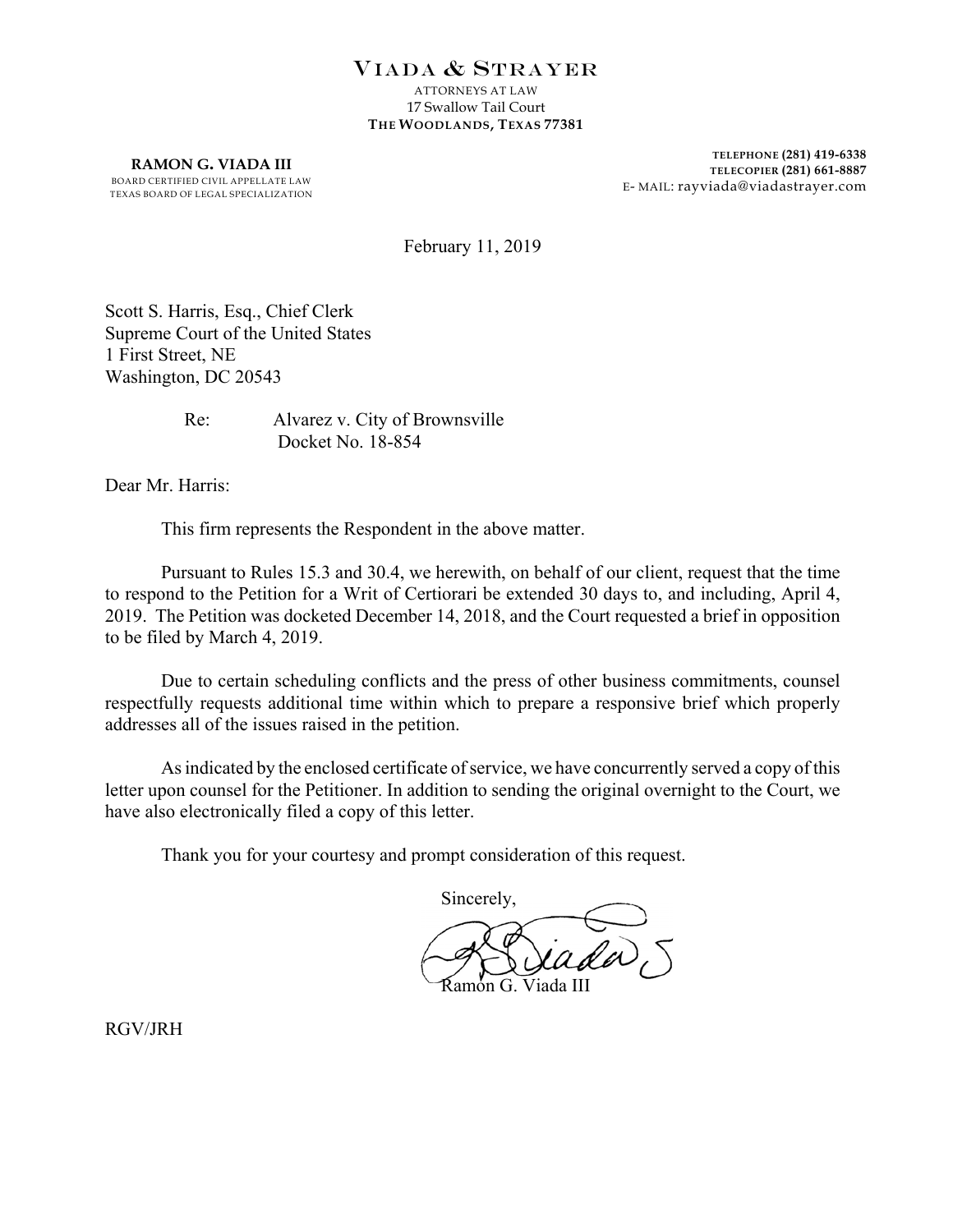## VIADA & STRAYER

ATTORNEYS AT LAW 17 Swallow Tail Court **THE WOODLANDS, TEXAS 77381**

**RAMON G. VIADA III** BOARD CERTIFIED CIVIL APPELLATE LAW TEXAS BOARD OF LEGAL SPECIALIZATION

**TELEPHONE (281) 419-6338 TELECOPIER (281) 661-8887** E- MAIL: rayviada@viadastrayer.com

February 11, 2019

Scott S. Harris, Esq., Chief Clerk Supreme Court of the United States 1 First Street, NE Washington, DC 20543

> Re: Alvarez v. City of Brownsville Docket No. 18-854

Dear Mr. Harris:

This firm represents the Respondent in the above matter.

Pursuant to Rules 15.3 and 30.4, we herewith, on behalf of our client, request that the time to respond to the Petition for a Writ of Certiorari be extended 30 days to, and including, April 4, 2019. The Petition was docketed December 14, 2018, and the Court requested a brief in opposition to be filed by March 4, 2019.

Due to certain scheduling conflicts and the press of other business commitments, counsel respectfully requests additional time within which to prepare a responsive brief which properly addresses all of the issues raised in the petition.

As indicated by the enclosed certificate of service, we have concurrently served a copy of this letter upon counsel for the Petitioner. In addition to sending the original overnight to the Court, we have also electronically filed a copy of this letter.

Thank you for your courtesy and prompt consideration of this request.

Sincerely, Ramon G. Viada III

RGV/JRH